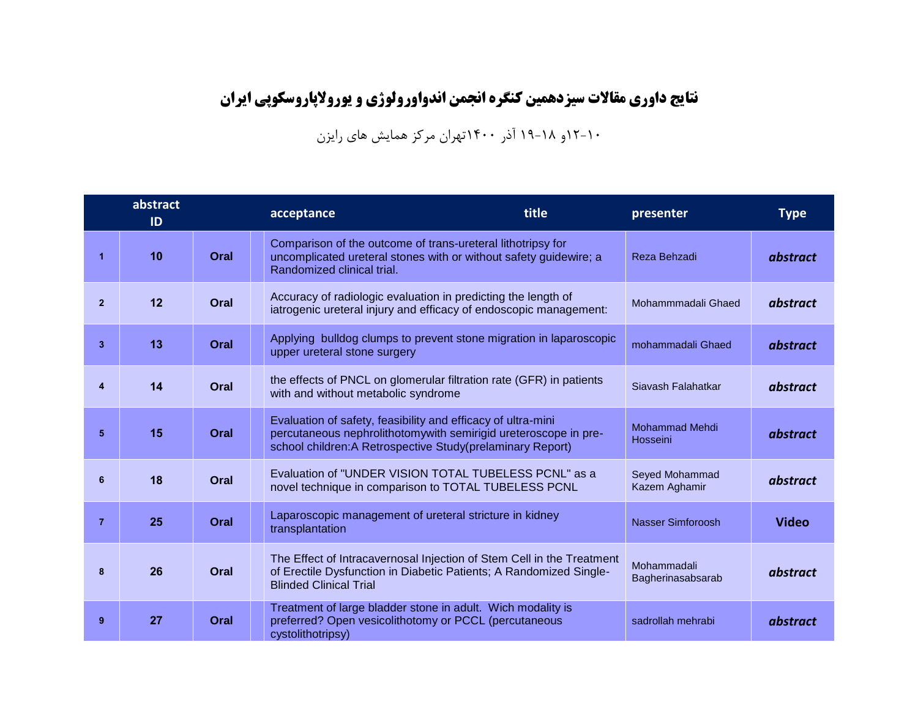**نتایج داوری مقاالت سیزدهمین کنگره انجمن اندواورولوژی و یوروالپاروسکوپی ایران**

۱۲-۱۰و ۱۹-۱۸ آذر ۱۴۰۰تهران مرکز همایش های رایزن

|                | abstract<br>ID |      | title<br>acceptance                                                                                                                                                                           | presenter                         | <b>Type</b>  |
|----------------|----------------|------|-----------------------------------------------------------------------------------------------------------------------------------------------------------------------------------------------|-----------------------------------|--------------|
| 1              | 10             | Oral | Comparison of the outcome of trans-ureteral lithotripsy for<br>uncomplicated ureteral stones with or without safety guidewire; a<br>Randomized clinical trial.                                | Reza Behzadi                      | abstract     |
| $\overline{2}$ | 12             | Oral | Accuracy of radiologic evaluation in predicting the length of<br>iatrogenic ureteral injury and efficacy of endoscopic management:                                                            | Mohammmadali Ghaed                | abstract     |
| 3              | 13             | Oral | Applying bulldog clumps to prevent stone migration in laparoscopic<br>upper ureteral stone surgery                                                                                            | mohammadali Ghaed                 | abstract     |
| 4              | 14             | Oral | the effects of PNCL on glomerular filtration rate (GFR) in patients<br>with and without metabolic syndrome                                                                                    | Siavash Falahatkar                | abstract     |
| 5              | 15             | Oral | Evaluation of safety, feasibility and efficacy of ultra-mini<br>percutaneous nephrolithotomywith semirigid ureteroscope in pre-<br>school children: A Retrospective Study(prelaminary Report) | <b>Mohammad Mehdi</b><br>Hosseini | abstract     |
| 6              | 18             | Oral | Evaluation of "UNDER VISION TOTAL TUBELESS PCNL" as a<br>novel technique in comparison to TOTAL TUBELESS PCNL                                                                                 | Seyed Mohammad<br>Kazem Aghamir   | abstract     |
| $\overline{7}$ | 25             | Oral | Laparoscopic management of ureteral stricture in kidney<br>transplantation                                                                                                                    | <b>Nasser Simforoosh</b>          | <b>Video</b> |
| 8              | 26             | Oral | The Effect of Intracavernosal Injection of Stem Cell in the Treatment<br>of Erectile Dysfunction in Diabetic Patients; A Randomized Single-<br><b>Blinded Clinical Trial</b>                  | Mohammadali<br>Bagherinasabsarab  | abstract     |
| 9              | 27             | Oral | Treatment of large bladder stone in adult. Wich modality is<br>preferred? Open vesicolithotomy or PCCL (percutaneous<br>cystolithotripsy)                                                     | sadrollah mehrabi                 | abstract     |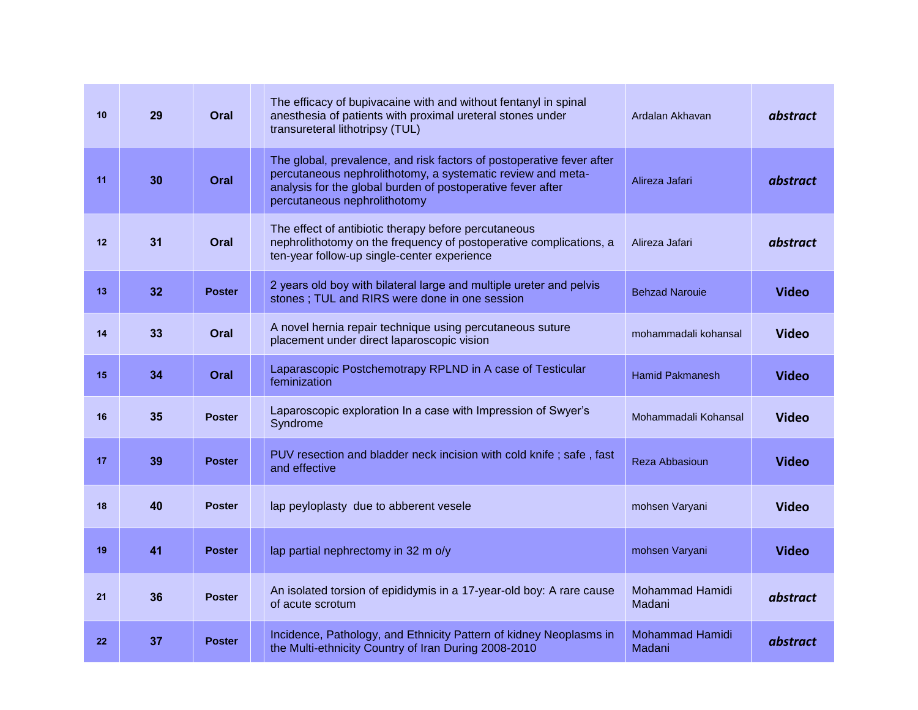| 10 | 29 | Oral          | The efficacy of bupivacaine with and without fentanyl in spinal<br>anesthesia of patients with proximal ureteral stones under<br>transureteral lithotripsy (TUL)                                                                    | Ardalan Akhavan                  | abstract     |
|----|----|---------------|-------------------------------------------------------------------------------------------------------------------------------------------------------------------------------------------------------------------------------------|----------------------------------|--------------|
| 11 | 30 | Oral          | The global, prevalence, and risk factors of postoperative fever after<br>percutaneous nephrolithotomy, a systematic review and meta-<br>analysis for the global burden of postoperative fever after<br>percutaneous nephrolithotomy | Alireza Jafari                   | abstract     |
| 12 | 31 | Oral          | The effect of antibiotic therapy before percutaneous<br>nephrolithotomy on the frequency of postoperative complications, a<br>ten-year follow-up single-center experience                                                           | Alireza Jafari                   | abstract     |
| 13 | 32 | <b>Poster</b> | 2 years old boy with bilateral large and multiple ureter and pelvis<br>stones; TUL and RIRS were done in one session                                                                                                                | <b>Behzad Narouie</b>            | <b>Video</b> |
| 14 | 33 | Oral          | A novel hernia repair technique using percutaneous suture<br>placement under direct laparoscopic vision                                                                                                                             | mohammadali kohansal             | <b>Video</b> |
| 15 | 34 | Oral          | Laparascopic Postchemotrapy RPLND in A case of Testicular<br>feminization                                                                                                                                                           | <b>Hamid Pakmanesh</b>           | <b>Video</b> |
| 16 | 35 | <b>Poster</b> | Laparoscopic exploration In a case with Impression of Swyer's<br>Syndrome                                                                                                                                                           | Mohammadali Kohansal             | <b>Video</b> |
| 17 | 39 | <b>Poster</b> | PUV resection and bladder neck incision with cold knife; safe, fast<br>and effective                                                                                                                                                | Reza Abbasioun                   | <b>Video</b> |
| 18 | 40 | <b>Poster</b> | lap peyloplasty due to abberent vesele                                                                                                                                                                                              | mohsen Varyani                   | <b>Video</b> |
| 19 | 41 | <b>Poster</b> | lap partial nephrectomy in 32 m o/y                                                                                                                                                                                                 | mohsen Varyani                   | <b>Video</b> |
| 21 | 36 | <b>Poster</b> | An isolated torsion of epididymis in a 17-year-old boy: A rare cause<br>of acute scrotum                                                                                                                                            | <b>Mohammad Hamidi</b><br>Madani | abstract     |
| 22 | 37 | <b>Poster</b> | Incidence, Pathology, and Ethnicity Pattern of kidney Neoplasms in<br>the Multi-ethnicity Country of Iran During 2008-2010                                                                                                          | <b>Mohammad Hamidi</b><br>Madani | abstract     |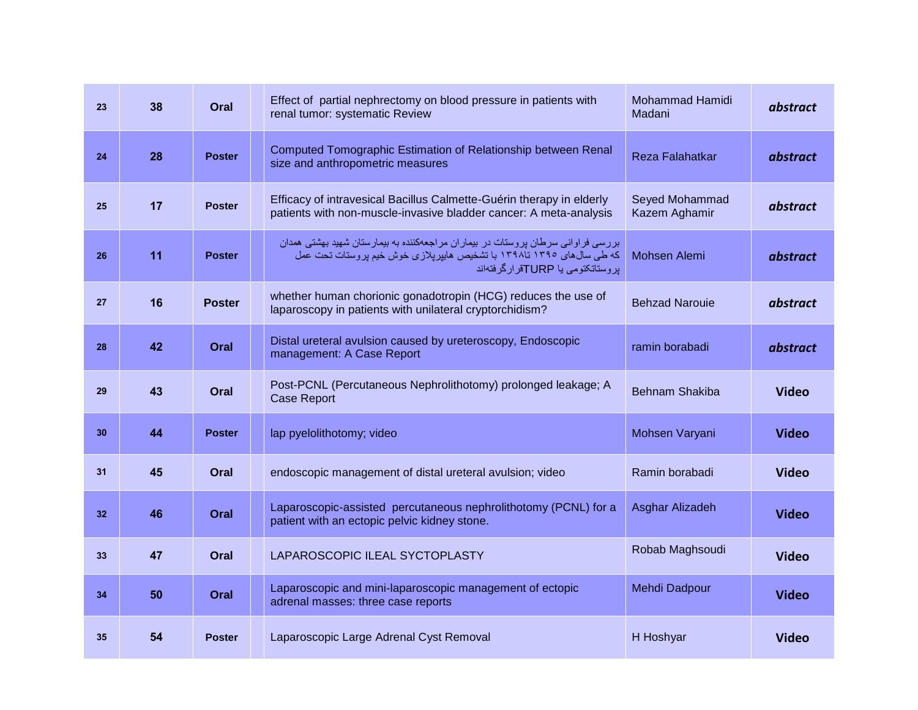| 23 | 38 | Oral          | Effect of partial nephrectomy on blood pressure in patients with<br>renal tumor: systematic Review                                                                                            | <b>Mohammad Hamidi</b><br>Madani | abstract     |
|----|----|---------------|-----------------------------------------------------------------------------------------------------------------------------------------------------------------------------------------------|----------------------------------|--------------|
| 24 | 28 | <b>Poster</b> | Computed Tomographic Estimation of Relationship between Renal<br>size and anthropometric measures                                                                                             | Reza Falahatkar                  | abstract     |
| 25 | 17 | <b>Poster</b> | Efficacy of intravesical Bacillus Calmette-Guérin therapy in elderly<br>patients with non-muscle-invasive bladder cancer: A meta-analysis                                                     | Seyed Mohammad<br>Kazem Aghamir  | abstract     |
| 26 | 11 | <b>Poster</b> | بررسی فراوانی سرطان بروستات در بیماران مراجعهکننده به بیمارستان شهید بهشتی همدان<br>که طی سال های ۱۳۹۰ تا۱۳۹۸ با تشخیص هایپرپلازی خوش خیم پروستات تحت عمل<br>بروستاتکتومی یا TURPقرارگرفتهاند | Mohsen Alemi                     | abstract     |
| 27 | 16 | <b>Poster</b> | whether human chorionic gonadotropin (HCG) reduces the use of<br>laparoscopy in patients with unilateral cryptorchidism?                                                                      | <b>Behzad Narouie</b>            | abstract     |
| 28 | 42 | Oral          | Distal ureteral avulsion caused by ureteroscopy, Endoscopic<br>management: A Case Report                                                                                                      | ramin borabadi                   | abstract     |
| 29 | 43 | Oral          | Post-PCNL (Percutaneous Nephrolithotomy) prolonged leakage; A<br><b>Case Report</b>                                                                                                           | <b>Behnam Shakiba</b>            | <b>Video</b> |
| 30 | 44 | <b>Poster</b> | lap pyelolithotomy; video                                                                                                                                                                     | Mohsen Varyani                   | <b>Video</b> |
| 31 | 45 | Oral          | endoscopic management of distal ureteral avulsion; video                                                                                                                                      | Ramin borabadi                   | <b>Video</b> |
| 32 | 46 | Oral          | Laparoscopic-assisted percutaneous nephrolithotomy (PCNL) for a<br>patient with an ectopic pelvic kidney stone.                                                                               | Asghar Alizadeh                  | <b>Video</b> |
| 33 | 47 | Oral          | LAPAROSCOPIC ILEAL SYCTOPLASTY                                                                                                                                                                | Robab Maghsoudi                  | <b>Video</b> |
| 34 | 50 | Oral          | Laparoscopic and mini-laparoscopic management of ectopic<br>adrenal masses: three case reports                                                                                                | Mehdi Dadpour                    | <b>Video</b> |
| 35 | 54 | <b>Poster</b> | Laparoscopic Large Adrenal Cyst Removal                                                                                                                                                       | H Hoshyar                        | <b>Video</b> |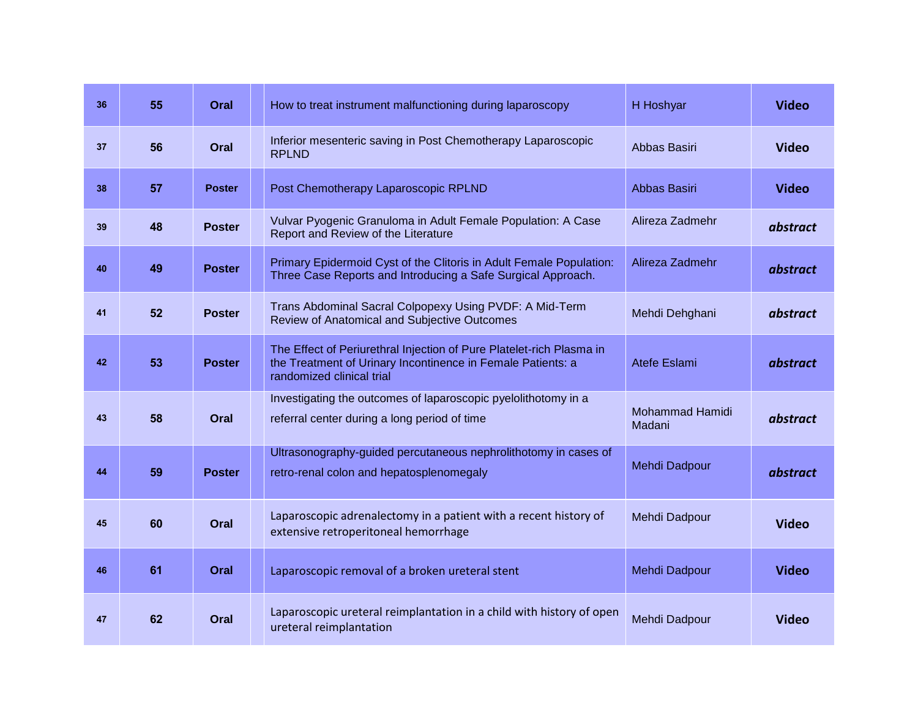| 36 | 55 | Oral          | How to treat instrument malfunctioning during laparoscopy                                                                                                        | H Hoshyar                        | <b>Video</b> |
|----|----|---------------|------------------------------------------------------------------------------------------------------------------------------------------------------------------|----------------------------------|--------------|
| 37 | 56 | Oral          | Inferior mesenteric saving in Post Chemotherapy Laparoscopic<br><b>RPLND</b>                                                                                     | Abbas Basiri                     | <b>Video</b> |
| 38 | 57 | <b>Poster</b> | Post Chemotherapy Laparoscopic RPLND                                                                                                                             | Abbas Basiri                     | <b>Video</b> |
| 39 | 48 | <b>Poster</b> | Vulvar Pyogenic Granuloma in Adult Female Population: A Case<br>Report and Review of the Literature                                                              | Alireza Zadmehr                  | abstract     |
| 40 | 49 | <b>Poster</b> | Primary Epidermoid Cyst of the Clitoris in Adult Female Population:<br>Three Case Reports and Introducing a Safe Surgical Approach.                              | Alireza Zadmehr                  | abstract     |
| 41 | 52 | <b>Poster</b> | Trans Abdominal Sacral Colpopexy Using PVDF: A Mid-Term<br>Review of Anatomical and Subjective Outcomes                                                          | Mehdi Dehghani                   | abstract     |
| 42 | 53 | <b>Poster</b> | The Effect of Periurethral Injection of Pure Platelet-rich Plasma in<br>the Treatment of Urinary Incontinence in Female Patients: a<br>randomized clinical trial | Atefe Eslami                     | abstract     |
| 43 | 58 | Oral          | Investigating the outcomes of laparoscopic pyelolithotomy in a<br>referral center during a long period of time                                                   | <b>Mohammad Hamidi</b><br>Madani | abstract     |
| 44 | 59 | <b>Poster</b> | Ultrasonography-guided percutaneous nephrolithotomy in cases of<br>retro-renal colon and hepatosplenomegaly                                                      | Mehdi Dadpour                    | abstract     |
| 45 | 60 | Oral          | Laparoscopic adrenalectomy in a patient with a recent history of<br>extensive retroperitoneal hemorrhage                                                         | Mehdi Dadpour                    | <b>Video</b> |
| 46 | 61 | Oral          | Laparoscopic removal of a broken ureteral stent                                                                                                                  | Mehdi Dadpour                    | <b>Video</b> |
| 47 | 62 | Oral          | Laparoscopic ureteral reimplantation in a child with history of open<br>ureteral reimplantation                                                                  | Mehdi Dadpour                    | <b>Video</b> |